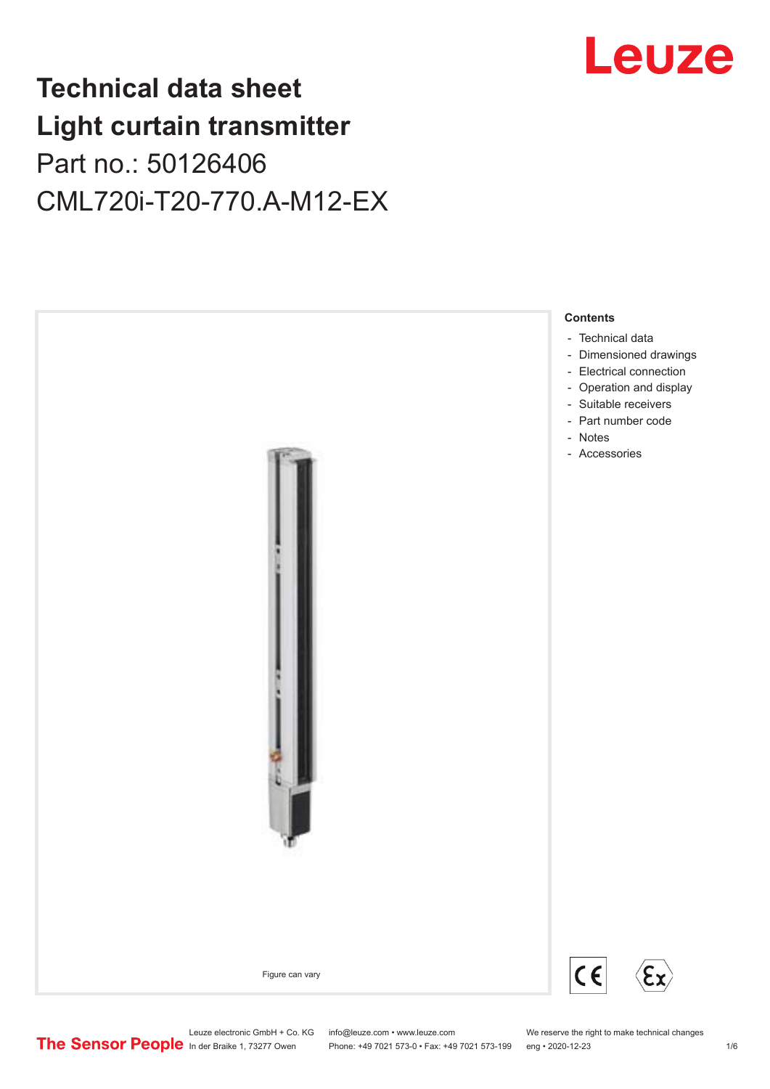## Leuze

## **Technical data sheet Light curtain transmitter** Part no.: 50126406 CML720i-T20-770.A-M12-EX



Leuze electronic GmbH + Co. KG info@leuze.com • www.leuze.com We reserve the right to make technical changes<br>
The Sensor People in der Braike 1, 73277 Owen Phone: +49 7021 573-0 • Fax: +49 7021 573-199 eng • 2020-12-23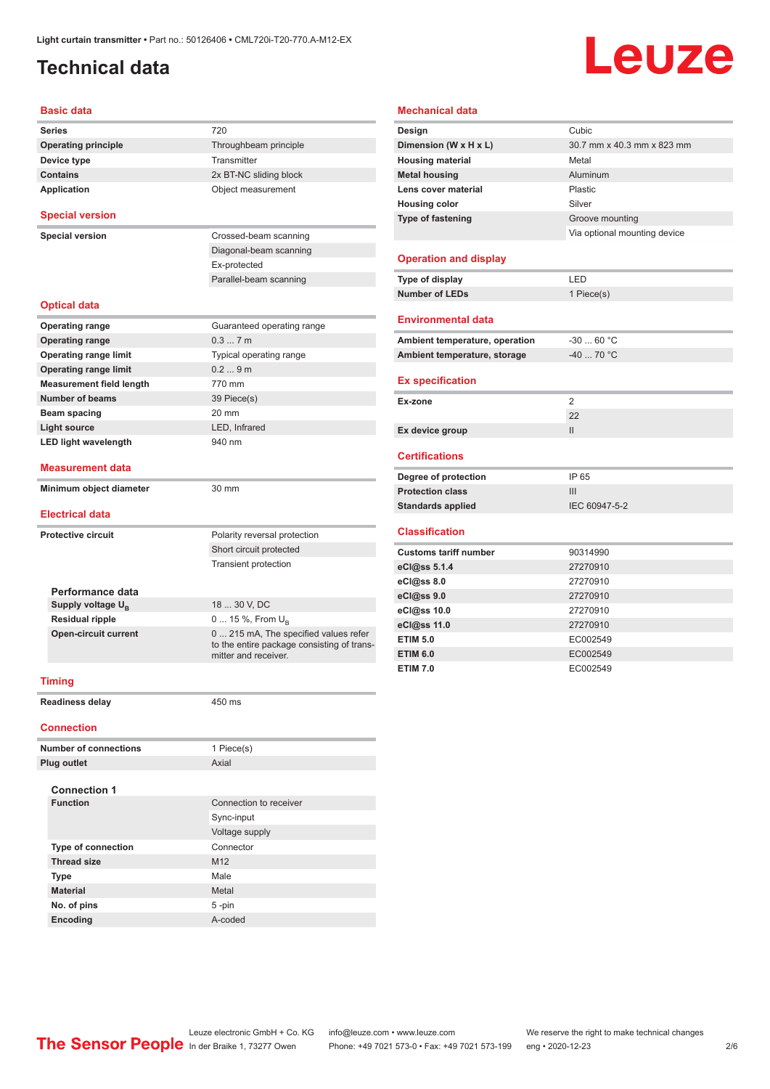### <span id="page-1-0"></span>**Technical data**

# Leuze

#### **Basic data**

| Series                          | 720                                                                                                         |
|---------------------------------|-------------------------------------------------------------------------------------------------------------|
| <b>Operating principle</b>      | Throughbeam principle                                                                                       |
| Device type                     | Transmitter                                                                                                 |
| <b>Contains</b>                 | 2x BT-NC sliding block                                                                                      |
| Application                     | Object measurement                                                                                          |
| <b>Special version</b>          |                                                                                                             |
| <b>Special version</b>          | Crossed-beam scanning                                                                                       |
|                                 | Diagonal-beam scanning                                                                                      |
|                                 | Ex-protected                                                                                                |
|                                 | Parallel-beam scanning                                                                                      |
| <b>Optical data</b>             |                                                                                                             |
| <b>Operating range</b>          | Guaranteed operating range                                                                                  |
| <b>Operating range</b>          | 0.37m                                                                                                       |
| <b>Operating range limit</b>    | Typical operating range                                                                                     |
| <b>Operating range limit</b>    | 0.29m                                                                                                       |
| <b>Measurement field length</b> | 770 mm                                                                                                      |
| <b>Number of beams</b>          | 39 Piece(s)                                                                                                 |
| Beam spacing                    | 20 mm                                                                                                       |
| <b>Light source</b>             | LED, Infrared                                                                                               |
| <b>LED light wavelength</b>     | 940 nm                                                                                                      |
| Measurement data                |                                                                                                             |
| Minimum object diameter         | 30 mm                                                                                                       |
| <b>Electrical data</b>          |                                                                                                             |
| <b>Protective circuit</b>       | Polarity reversal protection                                                                                |
|                                 | Short circuit protected                                                                                     |
|                                 | <b>Transient protection</b>                                                                                 |
| Performance data                |                                                                                                             |
| Supply voltage $U_{B}$          | 18  30 V, DC                                                                                                |
| <b>Residual ripple</b>          | 0  15 %, From $U_{\rm B}$                                                                                   |
| <b>Open-circuit current</b>     | 0  215 mA, The specified values refer<br>to the entire package consisting of trans-<br>mitter and receiver. |
| <b>Timing</b>                   |                                                                                                             |
| <b>Readiness delay</b>          | 450 ms                                                                                                      |
| <b>Connection</b>               |                                                                                                             |
| <b>Number of connections</b>    | 1 Piece(s)                                                                                                  |
| Plug outlet                     | Axial                                                                                                       |
| <b>Connection 1</b>             |                                                                                                             |
| <b>Function</b>                 | Connection to receiver                                                                                      |
|                                 | Sync-input                                                                                                  |
|                                 | Voltage supply                                                                                              |
|                                 |                                                                                                             |

#### **Mechanical data Design Cubic Dimension (W x H x L)** 30.7 mm x 40.3 mm x 823 mm **Housing material** Metal **Metal housing Aluminum Lens cover material** Plastic **Housing color** Silver **Type of fastening** Groove mounting Via optional mounting device **Operation and display Type of display** LED **Number of LEDs** 1 Piece(s) **Environmental data** Ambient temperature, operation  $-30...60$  °C **Ambient temperature, storage**  $-40$  ... 70 °C **Ex specification Ex-zone** 2 22 **Ex device group II Certifications Degree of protection** IP 65 **Protection class** III **Standards applied** IEC 60947-5-2 **Classification Customs tariff number** 90314990 **eCl@ss 5.1.4** 27270910 **eCl@ss 8.0** 27270910 **eCl@ss 9.0** 27270910 **eCl@ss 10.0** 27270910 **eCl@ss 11.0** 27270910 **ETIM 5.0** EC002549 **ETIM 6.0** EC002549 **ETIM 7.0** EC002549

Leuze electronic GmbH + Co. KG info@leuze.com • www.leuze.com We reserve the right to make technical changes<br>
The Sensor People in der Braike 1, 73277 Owen Phone: +49 7021 573-0 • Fax: +49 7021 573-199 eng • 2020-12-23

**Type of connection** Connector **Thread size** M12 **Type** Male **Material** Metal **No. of pins** 5 -pin **Encoding** A-coded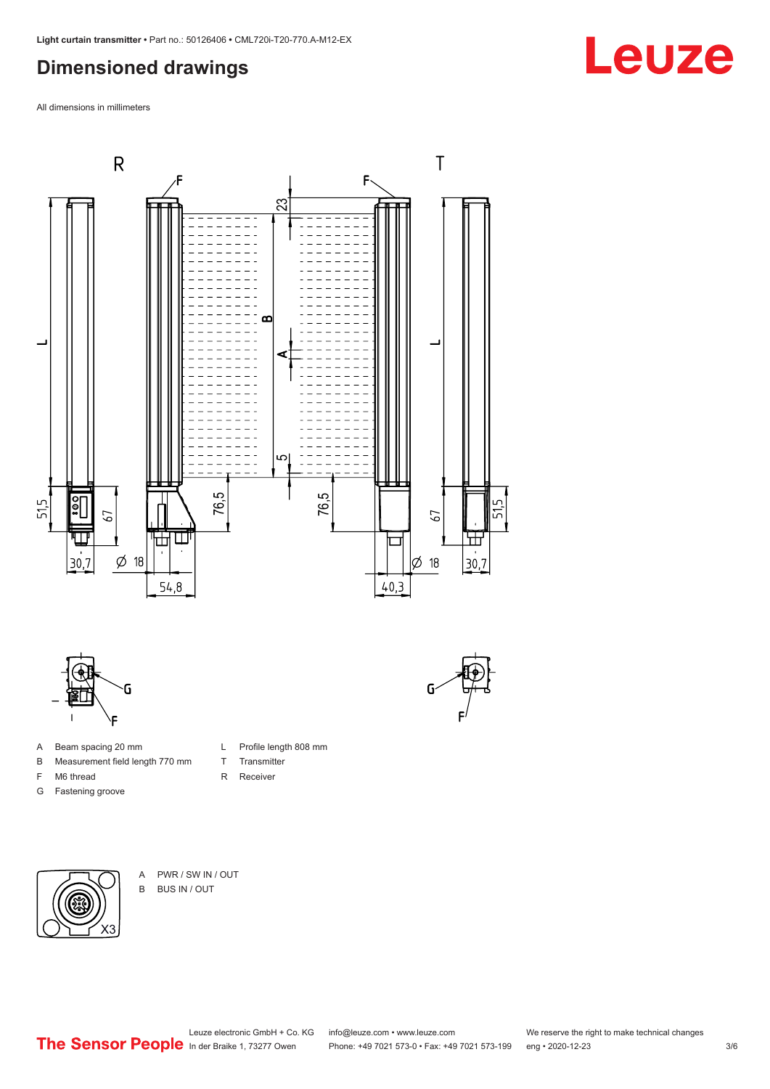#### <span id="page-2-0"></span>**Dimensioned drawings**

All dimensions in millimeters





- A Beam spacing 20 mm
- B Measurement field length 770 mm
- F M6 thread
- G Fastening groove
- T Transmitter R Receiver

L Profile length 808 mm





A PWR / SW IN / OUT B BUS IN / OUT

Leuze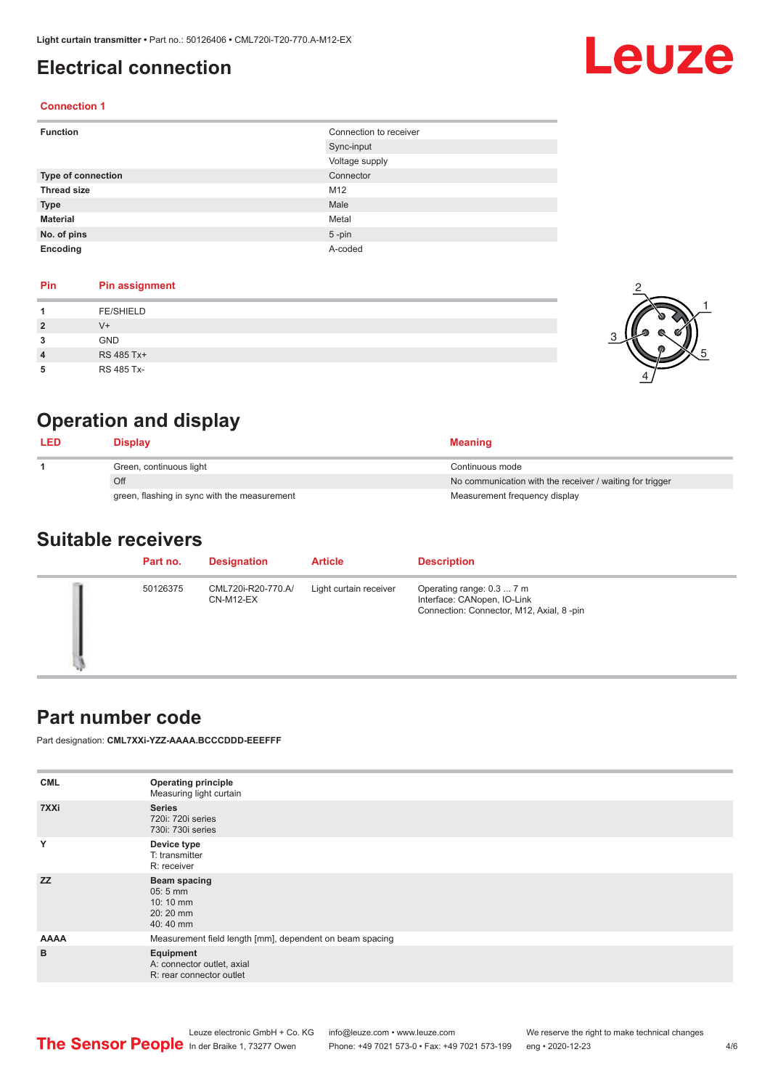### <span id="page-3-0"></span>**Electrical connection**

# Leuze

2

4

1

5

#### **Connection 1**

| <b>Function</b>           | Connection to receiver |
|---------------------------|------------------------|
|                           | Sync-input             |
|                           | Voltage supply         |
| <b>Type of connection</b> | Connector              |
| <b>Thread size</b>        | M12                    |
| <b>Type</b>               | Male                   |
| <b>Material</b>           | Metal                  |
| No. of pins               | $5$ -pin               |
| Encoding                  | A-coded                |

#### **Pin Pin assignment**

|                | <b>FE/SHIELD</b> |  |
|----------------|------------------|--|
| $\overline{2}$ | $V +$            |  |
| 3              | <b>GND</b>       |  |
| $\overline{4}$ | RS 485 Tx+       |  |
|                | RS 485 Tx-       |  |

### **Operation and display**

| <b>LED</b> | Display                                      | <b>Meaning</b>                                           |
|------------|----------------------------------------------|----------------------------------------------------------|
|            | Green, continuous light                      | Continuous mode                                          |
|            | Off                                          | No communication with the receiver / waiting for trigger |
|            | green, flashing in sync with the measurement | Measurement frequency display                            |

#### **Suitable receivers**

| Part no. | <b>Designation</b>              | <b>Article</b>         | <b>Description</b>                                                                                    |
|----------|---------------------------------|------------------------|-------------------------------------------------------------------------------------------------------|
| 50126375 | CML720i-R20-770.A/<br>CN-M12-EX | Light curtain receiver | Operating range: 0.3  7 m<br>Interface: CANopen, IO-Link<br>Connection: Connector, M12, Axial, 8 -pin |

#### **Part number code**

Part designation: **CML7XXi-YZZ-AAAA.BCCCDDD-EEEFFF**

| <b>Operating principle</b><br>Measuring light curtain                              |
|------------------------------------------------------------------------------------|
| <b>Series</b><br>720i: 720i series<br>730i: 730i series                            |
| Device type<br>T: transmitter<br>R: receiver                                       |
| <b>Beam spacing</b><br>$05:5$ mm<br>$10:10 \, \text{mm}$<br>$20:20$ mm<br>40:40 mm |
| Measurement field length [mm], dependent on beam spacing                           |
| Equipment<br>A: connector outlet, axial<br>R: rear connector outlet                |
|                                                                                    |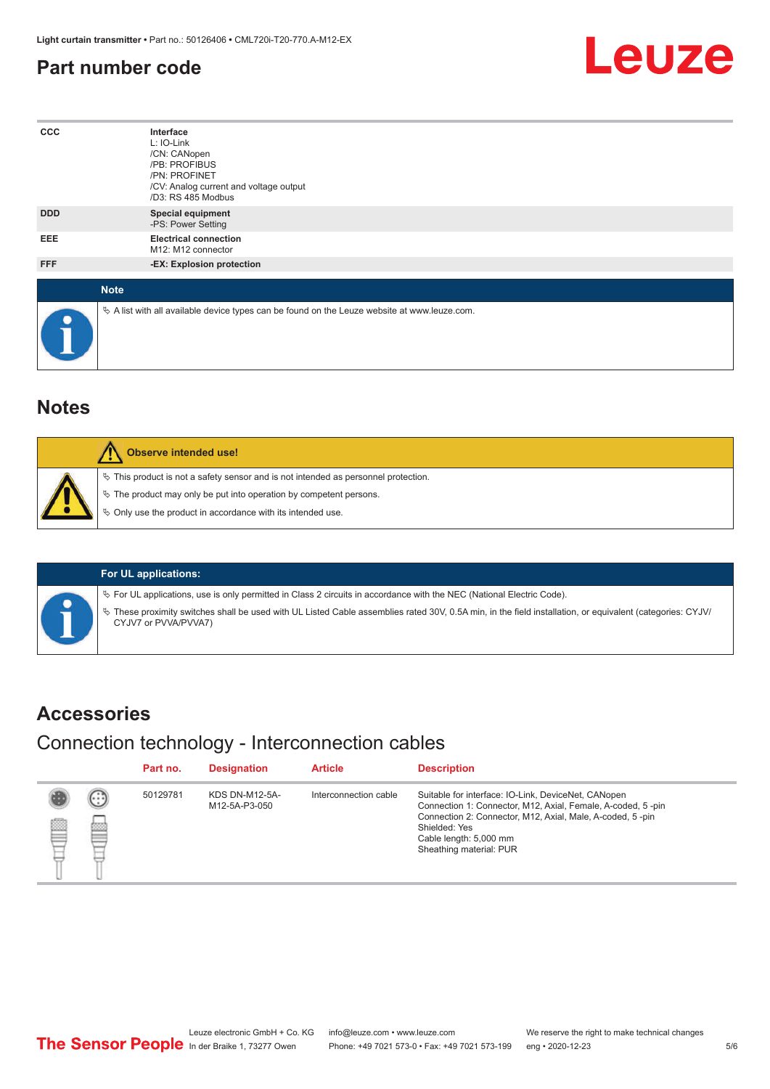#### <span id="page-4-0"></span>**Part number code**



| $_{\rm ccc}$ | Interface<br>L: IO-Link<br>/CN: CANopen<br>/PB: PROFIBUS<br>/PN: PROFINET<br>/CV: Analog current and voltage output<br>/D3: RS 485 Modbus |
|--------------|-------------------------------------------------------------------------------------------------------------------------------------------|
| <b>DDD</b>   | <b>Special equipment</b><br>-PS: Power Setting                                                                                            |
| EEE          | <b>Electrical connection</b><br>M12: M12 connector                                                                                        |
| FFF          | -EX: Explosion protection                                                                                                                 |
| <b>Note</b>  |                                                                                                                                           |
| $\bullet$    | $\&$ A list with all available device types can be found on the Leuze website at www.leuze.com.                                           |

#### **Notes**

| Observe intended use!                                                                                                                                                                                                      |
|----------------------------------------------------------------------------------------------------------------------------------------------------------------------------------------------------------------------------|
| $\%$ This product is not a safety sensor and is not intended as personnel protection.<br>§ The product may only be put into operation by competent persons.<br>§ Only use the product in accordance with its intended use. |

#### **For UL applications:**

ª For UL applications, use is only permitted in Class 2 circuits in accordance with the NEC (National Electric Code).

ª These proximity switches shall be used with UL Listed Cable assemblies rated 30V, 0.5A min, in the field installation, or equivalent (categories: CYJV/ CYJV7 or PVVA/PVVA7)

#### **Accessories**

#### Connection technology - Interconnection cables

|   |                        | Part no. | <b>Designation</b>              | <b>Article</b>        | <b>Description</b>                                                                                                                                                                                                                                    |
|---|------------------------|----------|---------------------------------|-----------------------|-------------------------------------------------------------------------------------------------------------------------------------------------------------------------------------------------------------------------------------------------------|
| ₿ | (.<br><b>From</b><br>œ | 50129781 | KDS DN-M12-5A-<br>M12-5A-P3-050 | Interconnection cable | Suitable for interface: IO-Link, DeviceNet, CANopen<br>Connection 1: Connector, M12, Axial, Female, A-coded, 5-pin<br>Connection 2: Connector, M12, Axial, Male, A-coded, 5-pin<br>Shielded: Yes<br>Cable length: 5,000 mm<br>Sheathing material: PUR |